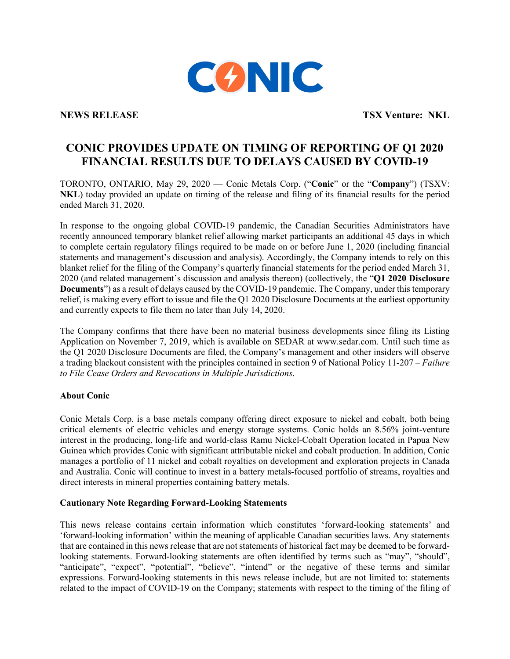

**NEWS RELEASE TSX Venture: NKL**

## **CONIC PROVIDES UPDATE ON TIMING OF REPORTING OF Q1 2020 FINANCIAL RESULTS DUE TO DELAYS CAUSED BY COVID-19**

TORONTO, ONTARIO, May 29, 2020 — Conic Metals Corp. ("**Conic**" or the "**Company**") (TSXV: **NKL**) today provided an update on timing of the release and filing of its financial results for the period ended March 31, 2020.

In response to the ongoing global COVID-19 pandemic, the Canadian Securities Administrators have recently announced temporary blanket relief allowing market participants an additional 45 days in which to complete certain regulatory filings required to be made on or before June 1, 2020 (including financial statements and management's discussion and analysis). Accordingly, the Company intends to rely on this blanket relief for the filing of the Company's quarterly financial statements for the period ended March 31, 2020 (and related management's discussion and analysis thereon) (collectively, the "**Q1 2020 Disclosure Documents**") as a result of delays caused by the COVID-19 pandemic. The Company, under this temporary relief, is making every effort to issue and file the Q1 2020 Disclosure Documents at the earliest opportunity and currently expects to file them no later than July 14, 2020.

The Company confirms that there have been no material business developments since filing its Listing Application on November 7, 2019, which is available on SEDAR at www.sedar.com. Until such time as the Q1 2020 Disclosure Documents are filed, the Company's management and other insiders will observe a trading blackout consistent with the principles contained in section 9 of National Policy 11-207 – *Failure to File Cease Orders and Revocations in Multiple Jurisdictions*.

## **About Conic**

Conic Metals Corp. is a base metals company offering direct exposure to nickel and cobalt, both being critical elements of electric vehicles and energy storage systems. Conic holds an 8.56% joint-venture interest in the producing, long-life and world-class Ramu Nickel-Cobalt Operation located in Papua New Guinea which provides Conic with significant attributable nickel and cobalt production. In addition, Conic manages a portfolio of 11 nickel and cobalt royalties on development and exploration projects in Canada and Australia. Conic will continue to invest in a battery metals-focused portfolio of streams, royalties and direct interests in mineral properties containing battery metals.

## **Cautionary Note Regarding Forward-Looking Statements**

This news release contains certain information which constitutes 'forward-looking statements' and 'forward-looking information' within the meaning of applicable Canadian securities laws. Any statements that are contained in this news release that are not statements of historical fact may be deemed to be forwardlooking statements. Forward-looking statements are often identified by terms such as "may", "should", "anticipate", "expect", "potential", "believe", "intend" or the negative of these terms and similar expressions. Forward-looking statements in this news release include, but are not limited to: statements related to the impact of COVID-19 on the Company; statements with respect to the timing of the filing of